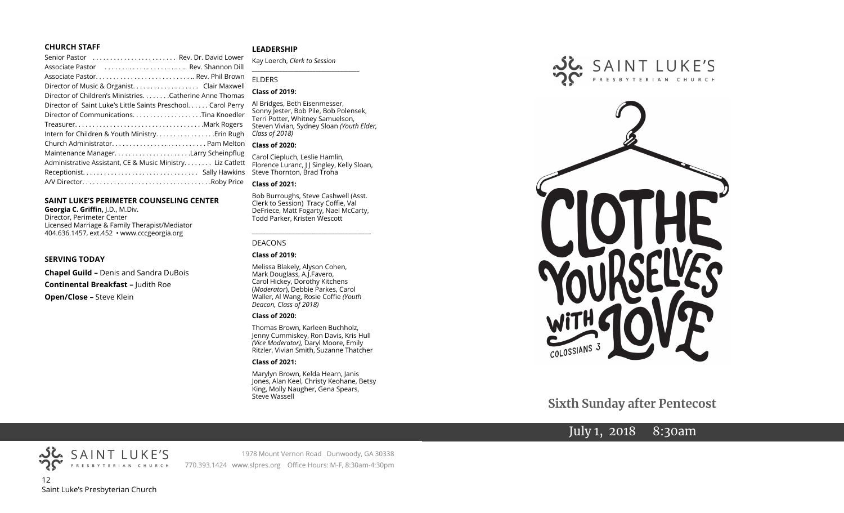#### **CHURCH STAFF**

| Senior Pastor  Rev. Dr. David Lower                           |
|---------------------------------------------------------------|
| Associate Pastor  Rev. Shannon Dill                           |
|                                                               |
| Director of Music & Organist. Clair Maxwell                   |
| Director of Children's MinistriesCatherine Anne Thomas        |
| Director of Saint Luke's Little Saints Preschool. Carol Perry |
| Director of CommunicationsTina Knoedler                       |
|                                                               |
|                                                               |
|                                                               |
| Maintenance ManagerLarry Scheinpflug                          |
| Administrative Assistant, CE & Music Ministry Liz Catlett     |
|                                                               |
|                                                               |
|                                                               |

#### **SAINT LUKE'S PERIMETER COUNSELING CENTER**

**Georgia C. Griffin,** J.D., M.Div. Director, Perimeter Center Licensed Marriage & Family Therapist/Mediator 404.636.1457, ext.452 • www.cccgeorgia.org

#### **SERVING TODAY**

**Chapel Guild –** Denis and Sandra DuBois **Continental Breakfast –** Judith Roe **Open/Close –** Steve Klein

### **LEADERSHIP**

Kay Loerch, *Clerk to Session*  **\_\_\_\_\_\_\_\_\_\_\_\_\_\_\_\_\_\_\_\_\_\_\_\_\_\_\_\_\_\_\_\_\_\_\_\_\_\_\_**

ELDERS

#### **Class of 2019:**

Al Bridges, Beth Eisenmesser, Sonny Jester, Bob Pile, Bob Polensek, Terri Potter, Whitney Samuelson, Steven Vivian*,* Sydney Sloan *(Youth Elder, Class of 2018)*

#### **Class of 2020:**

Carol Ciepluch, Leslie Hamlin, Florence Luranc, J J Singley, Kelly Sloan, Steve Thornton, Brad Troha

#### **Class of 2021:**

Bob Burroughs, Steve Cashwell (Asst. Clerk to Session) Tracy Coffie, Val DeFriece, Matt Fogarty, Nael McCarty, Todd Parker, Kristen Wescott

\_\_\_\_\_\_\_\_\_\_\_\_\_\_\_\_\_\_\_\_\_\_\_\_\_\_\_\_\_\_\_\_\_\_\_\_

#### DEACONS

#### **Class of 2019:**

Melissa Blakely, Alyson Cohen, Mark Douglass, A.J.Favero, Carol Hickey, Dorothy Kitchens (*Moderator*), Debbie Parkes, Carol Waller, Al Wang, Rosie Coffie *(Youth Deacon, Class of 2018)* 

#### **Class of 2020:**

Thomas Brown, Karleen Buchholz, Jenny Cummiskey, Ron Davis, Kris Hull *(Vice Moderator),* Daryl Moore, Emily Ritzler, Vivian Smith, Suzanne Thatcher

#### **Class of 2021:**

Marylyn Brown, Kelda Hearn, Janis Jones, Alan Keel, Christy Keohane, Betsy King, Molly Naugher, Gena Spears, Steve Wassell





**Sixth Sunday after Pentecost**

# July 1, 2018 8:30am



1978 Mount Vernon Road Dunwoody, GA 30338 770.393.1424 www.slpres.org Office Hours: M-F, 8:30am-4:30pm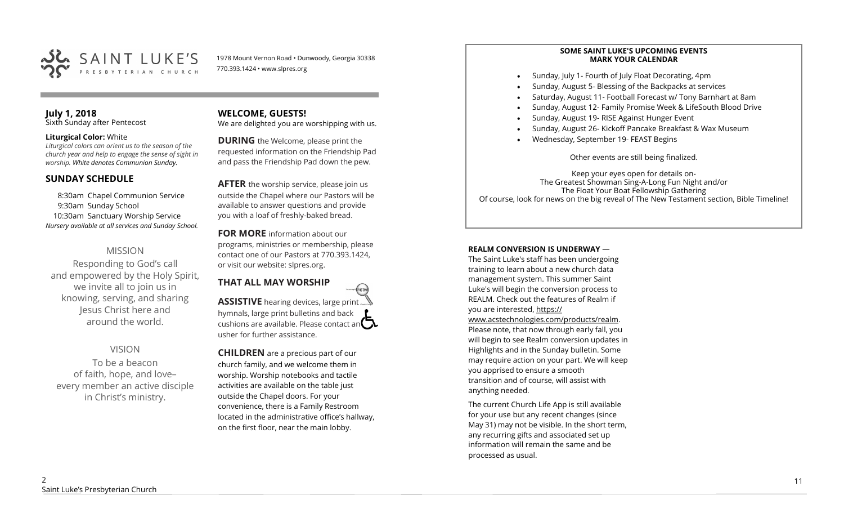

1978 Mount Vernon Road • Dunwoody, Georgia 30338 770.393.1424 • www.slpres.org

#### **July 1, 2018**  Sixth Sunday after Pentecost

#### **Liturgical Color:** White

*Liturgical colors can orient us to the season of the church year and help to engage the sense of sight in worship. White denotes Communion Sunday.*

# **SUNDAY SCHEDULE**

8:30am Chapel Communion Service 9:30am Sunday School 10:30am Sanctuary Worship Service *Nursery available at all services and Sunday School.* 

# MISSION

Responding to God's call and empowered by the Holy Spirit, we invite all to join us in knowing, serving, and sharing Jesus Christ here and around the world.

# VISION

To be a beacon of faith, hope, and love– every member an active disciple in Christ's ministry.

# **WELCOME, GUESTS!**

We are delighted you are worshipping with us.

**DURING** the Welcome, please print the requested information on the Friendship Pad and pass the Friendship Pad down the pew.

**AFTER** the worship service, please join us outside the Chapel where our Pastors will be available to answer questions and provide you with a loaf of freshly-baked bread.

**FOR MORE** information about our programs, ministries or membership, please contact one of our Pastors at 770.393.1424, or visit our website: slpres.org.

# **THAT ALL MAY WORSHIP**

**ASSISTIVE** hearing devices, large print hymnals, large print bulletins and back cushions are available. Please contact an  $\mathbf{\Omega}$ usher for further assistance.

thistex

**CHILDREN** are a precious part of our church family, and we welcome them in worship. Worship notebooks and tactile activities are available on the table just outside the Chapel doors. For your convenience, there is a Family Restroom located in the administrative office's hallway, on the first floor, near the main lobby.

#### **SOME SAINT LUKE'S UPCOMING EVENTS MARK YOUR CALENDAR**

- Sunday, July 1- Fourth of July Float Decorating, 4pm
- Sunday, August 5- Blessing of the Backpacks at services
- Saturday, August 11- Football Forecast w/ Tony Barnhart at 8am
- Sunday, August 12- Family Promise Week & LifeSouth Blood Drive
- Sunday, August 19- RISE Against Hunger Event
- Sunday, August 26- Kickoff Pancake Breakfast & Wax Museum
- Wednesday, September 19- FEAST Begins

Other events are still being finalized.

Keep your eyes open for details on-The Greatest Showman Sing-A-Long Fun Night and/or The Float Your Boat Fellowship Gathering Of course, look for news on the big reveal of The New Testament section, Bible Timeline!

#### **REALM CONVERSION IS UNDERWAY** —

The Saint Luke's staff has been undergoing training to learn about a new church data management system. This summer Saint Luke's will begin the conversion process to REALM. Check out the features of Realm if you are interested, https:// www.acstechnologies.com/products/realm. Please note, that now through early fall, you will begin to see Realm conversion updates in Highlights and in the Sunday bulletin. Some may require action on your part. We will keep you apprised to ensure a smooth transition and of course, will assist with anything needed.

The current Church Life App is still available for your use but any recent changes (since May 31) may not be visible. In the short term, any recurring gifts and associated set up information will remain the same and be processed as usual.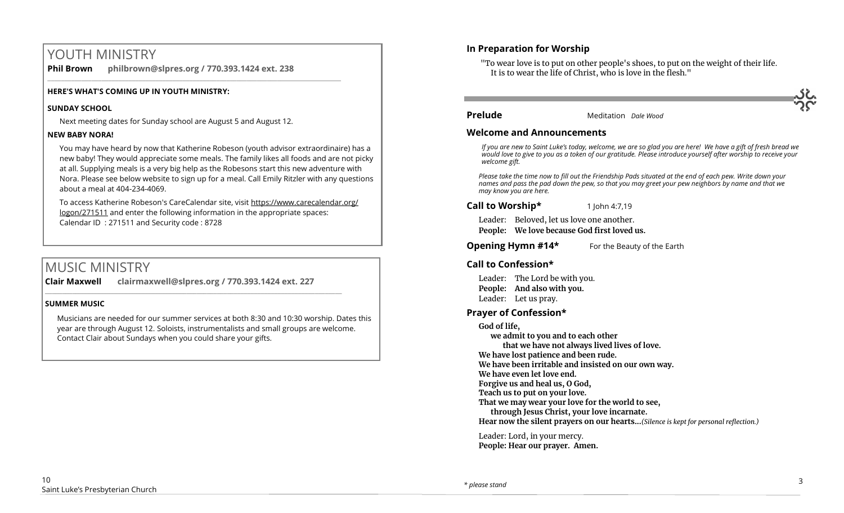# YOUTH MINISTRY

**Phil Brown philbrown@slpres.org / 770.393.1424 ext. 238**  \_\_\_\_\_\_\_\_\_\_\_\_\_\_\_\_\_\_\_\_\_\_\_\_\_\_\_\_\_\_\_\_\_\_\_\_\_\_\_\_\_\_\_\_\_\_\_\_\_\_\_\_\_\_\_\_\_\_\_\_\_\_\_\_\_\_\_\_\_\_\_\_\_\_\_\_\_\_\_\_\_\_\_\_\_\_\_

# **HERE'S WHAT'S COMING UP IN YOUTH MINISTRY:**

# **SUNDAY SCHOOL**

Next meeting dates for Sunday school are August 5 and August 12.

# **NEW BABY NORA!**

You may have heard by now that Katherine Robeson (youth advisor extraordinaire) has a new baby! They would appreciate some meals. The family likes all foods and are not picky at all. Supplying meals is a very big help as the Robesons start this new adventure with Nora. Please see below website to sign up for a meal. Call Emily Ritzler with any questions about a meal at 404-234-4069.

To access Katherine Robeson's CareCalendar site, visit [https://www.carecalendar.org/](https://www.carecalendar.org/logon/271511) [logon/271511](https://www.carecalendar.org/logon/271511) and enter the following information in the appropriate spaces: Calendar ID : 271511 and Security code : 8728

# MUSIC MINISTRY

**Clair Maxwell clairmaxwell@slpres.org / 770.393.1424 ext. 227** 

 $\_$  ,  $\_$  ,  $\_$  ,  $\_$  ,  $\_$  ,  $\_$  ,  $\_$  ,  $\_$  ,  $\_$  ,  $\_$  ,  $\_$  ,  $\_$  ,  $\_$  ,  $\_$  ,  $\_$  ,  $\_$  ,  $\_$  ,  $\_$  ,  $\_$ 

# **SUMMER MUSIC**

Musicians are needed for our summer services at both 8:30 and 10:30 worship. Dates this year are through August 12. Soloists, instrumentalists and small groups are welcome. Contact Clair about Sundays when you could share your gifts.

# **In Preparation for Worship**

"To wear love is to put on other people's shoes, to put on the weight of their life. It is to wear the life of Christ, who is love in the flesh."



**Prelude** Meditation *Dale Wood* 

# **Welcome and Announcements**

*If you are new to Saint Luke's today, welcome, we are so glad you are here! We have a gift of fresh bread we would love to give to you as a token of our gratitude. Please introduce yourself after worship to receive your welcome gift.*

*Please take the time now to fill out the Friendship Pads situated at the end of each pew. Write down your names and pass the pad down the pew, so that you may greet your pew neighbors by name and that we may know you are here.*

# **Call to Worship\*** 1 John 4:7,19

Leader: Beloved, let us love one another. **People: We love because God first loved us.**

**Opening Hymn #14\*** For the Beauty of the Earth

# **Call to Confession\***

Leader: The Lord be with you. **People: And also with you.** Leader: Let us pray.

# **Prayer of Confession\***

**God of life,**

**we admit to you and to each other**

**that we have not always lived lives of love.**

**We have lost patience and been rude.**

**We have been irritable and insisted on our own way.**

**We have even let love end.**

**Forgive us and heal us, O God,** 

**Teach us to put on your love.**

**That we may wear your love for the world to see,** 

**through Jesus Christ, your love incarnate.**

**Hear now the silent prayers on our hearts...***(Silence is kept for personal reflection.)*

Leader: Lord, in your mercy. **People: Hear our prayer. Amen.**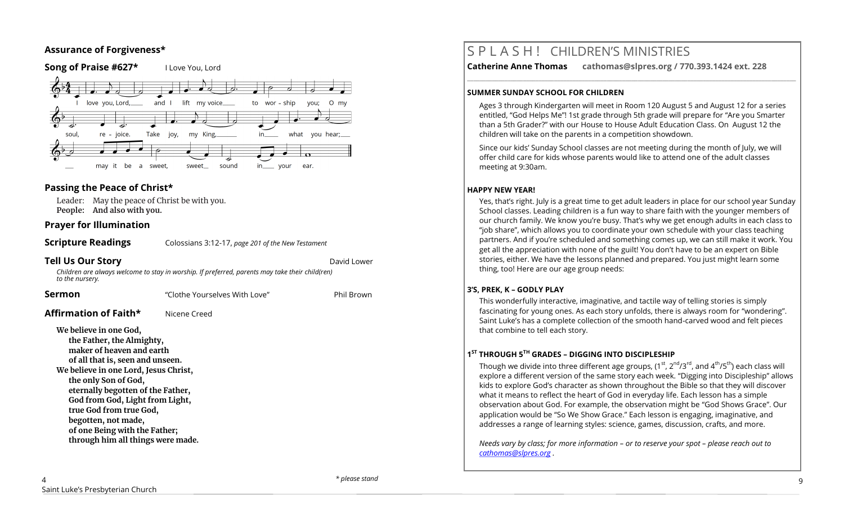# **Assurance of Forgiveness\***



# **Passing the Peace of Christ\***

Leader: May the peace of Christ be with you. **People: And also with you.** 

# **Prayer for Illumination**

**Scripture Readings** Colossians 3:12-17, *page 201 of the New Testament* 

## **Tell Us Our Story Community Community Community Community Community Community Community Community Community Community Community Community Community Community Community Community Community Community Community Community Com**

*Children are always welcome to stay in worship. If preferred, parents may take their child(ren) to the nursery.*

| Sermon                                                                                                                                                                                                                                                                                                                                                                                | "Clothe Yourselves With Love" | Phil Brown |
|---------------------------------------------------------------------------------------------------------------------------------------------------------------------------------------------------------------------------------------------------------------------------------------------------------------------------------------------------------------------------------------|-------------------------------|------------|
| Affirmation of Faith*                                                                                                                                                                                                                                                                                                                                                                 | Nicene Creed                  |            |
| We believe in one God,<br>the Father, the Almighty,<br>maker of heaven and earth<br>of all that is, seen and unseen.<br>We believe in one Lord, Jesus Christ,<br>the only Son of God,<br>eternally begotten of the Father,<br>God from God, Light from Light,<br>true God from true God,<br>begotten, not made,<br>of one Being with the Father;<br>through him all things were made. |                               |            |

# S P L A S H ! CHILDREN'S MINISTRIES

**Catherine Anne Thomas cathomas@slpres.org / 770.393.1424 ext. 228** 

#### **SUMMER SUNDAY SCHOOL FOR CHILDREN**

Ages 3 through Kindergarten will meet in Room 120 August 5 and August 12 for a series entitled, "God Helps Me"! 1st grade through 5th grade will prepare for "Are you Smarter than a 5th Grader?" with our House to House Adult Education Class. On August 12 the children will take on the parents in a competition showdown.

**\_\_\_\_\_\_\_\_\_\_\_\_\_\_\_\_\_\_\_\_\_\_\_\_\_\_\_\_\_\_\_\_\_\_\_\_\_\_\_\_\_\_\_\_\_\_\_\_\_\_\_\_\_\_\_\_\_\_\_\_\_\_\_\_\_\_\_\_\_\_\_\_\_\_\_\_\_\_\_\_\_\_\_\_\_\_\_\_\_\_\_\_\_\_\_\_\_\_\_\_\_\_\_\_\_\_** 

Since our kids' Sunday School classes are not meeting during the month of July, we will offer child care for kids whose parents would like to attend one of the adult classes meeting at 9:30am.

# **HAPPY NEW YEAR!**

Yes, that's right. July is a great time to get adult leaders in place for our school year Sunday School classes. Leading children is a fun way to share faith with the younger members of our church family. We know you're busy. That's why we get enough adults in each class to "job share", which allows you to coordinate your own schedule with your class teaching partners. And if you're scheduled and something comes up, we can still make it work. You get all the appreciation with none of the guilt! You don't have to be an expert on Bible stories, either. We have the lessons planned and prepared. You just might learn some thing, too! Here are our age group needs:

## **3'S, PREK, K – GODLY PLAY**

This wonderfully interactive, imaginative, and tactile way of telling stories is simply fascinating for young ones. As each story unfolds, there is always room for "wondering". Saint Luke's has a complete collection of the smooth hand-carved wood and felt pieces that combine to tell each story.

# **1 ST THROUGH 5TH GRADES – DIGGING INTO DISCIPLESHIP**

Though we divide into three different age groups,  $(1^{st}, 2^{nd}/3^{rd})$ , and  $4^{th}/5^{th}$ ) each class will explore a different version of the same story each week. "Digging into Discipleship" allows kids to explore God's character as shown throughout the Bible so that they will discover what it means to reflect the heart of God in everyday life. Each lesson has a simple observation about God. For example, the observation might be "God Shows Grace". Our application would be "So We Show Grace." Each lesson is engaging, imaginative, and addresses a range of learning styles: science, games, discussion, crafts, and more.

*Needs vary by class; for more information – or to reserve your spot – please reach out to [cathomas@slpres.org](mailto:cathomas@slpres.org) .*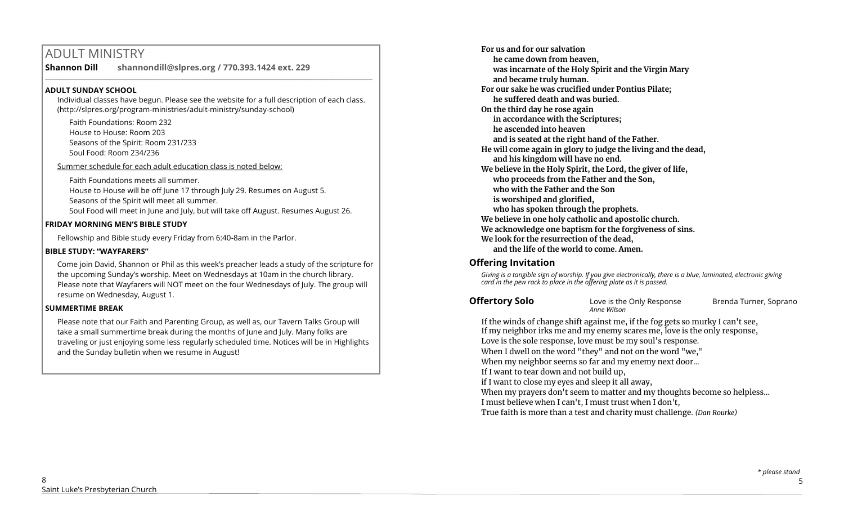# ADULT MINISTRY

**Shannon Dill shannondill@slpres.org / 770.393.1424 ext. 229**   $\_$  ,  $\_$  ,  $\_$  ,  $\_$  ,  $\_$  ,  $\_$  ,  $\_$  ,  $\_$  ,  $\_$  ,  $\_$  ,  $\_$  ,  $\_$  ,  $\_$  ,  $\_$  ,  $\_$  ,  $\_$  ,  $\_$  ,  $\_$  ,  $\_$ 

# **ADULT SUNDAY SCHOOL**

Individual classes have begun. Please see the website for a full description of each class. (http://slpres.org/program-ministries/adult-ministry/sunday-school)

Faith Foundations: Room 232 House to House: Room 203 Seasons of the Spirit: Room 231/233 Soul Food: Room 234/236

## Summer schedule for each adult education class is noted below:

Faith Foundations meets all summer.

House to House will be off June 17 through July 29. Resumes on August 5. Seasons of the Spirit will meet all summer.

Soul Food will meet in June and July, but will take off August. Resumes August 26.

# **FRIDAY MORNING MEN'S BIBLE STUDY**

Fellowship and Bible study every Friday from 6:40-8am in the Parlor.

# **BIBLE STUDY: "WAYFARERS"**

Come join David, Shannon or Phil as this week's preacher leads a study of the scripture for the upcoming Sunday's worship. Meet on Wednesdays at 10am in the church library. Please note that Wayfarers will NOT meet on the four Wednesdays of July. The group will resume on Wednesday, August 1.

# **SUMMERTIME BREAK**

Please note that our Faith and Parenting Group, as well as, our Tavern Talks Group will take a small summertime break during the months of June and July. Many folks are traveling or just enjoying some less regularly scheduled time. Notices will be in Highlights and the Sunday bulletin when we resume in August!

**For us and for our salvation he came down from heaven, was incarnate of the Holy Spirit and the Virgin Mary and became truly human. For our sake he was crucified under Pontius Pilate; he suffered death and was buried. On the third day he rose again in accordance with the Scriptures; he ascended into heaven and is seated at the right hand of the Father. He will come again in glory to judge the living and the dead, and his kingdom will have no end. We believe in the Holy Spirit, the Lord, the giver of life, who proceeds from the Father and the Son, who with the Father and the Son is worshiped and glorified, who has spoken through the prophets. We believe in one holy catholic and apostolic church. We acknowledge one baptism for the forgiveness of sins. We look for the resurrection of the dead, and the life of the world to come. Amen.**

# **Offering Invitation**

*Giving is a tangible sign of worship. If you give electronically, there is a blue, laminated, electronic giving card in the pew rack to place in the offering plate as it is passed.*

*Anne Wilson* 

**Offertory Solo** Love is the Only Response Brenda Turner, Soprano

If the winds of change shift against me, if the fog gets so murky I can't see, If my neighbor irks me and my enemy scares me, love is the only response, Love is the sole response, love must be my soul's response. When I dwell on the word "they" and not on the word "we," When my neighbor seems so far and my enemy next door... If I want to tear down and not build up, if I want to close my eyes and sleep it all away, When my prayers don't seem to matter and my thoughts become so helpless... I must believe when I can't, I must trust when I don't, True faith is more than a test and charity must challenge. *(Dan Rourke)*